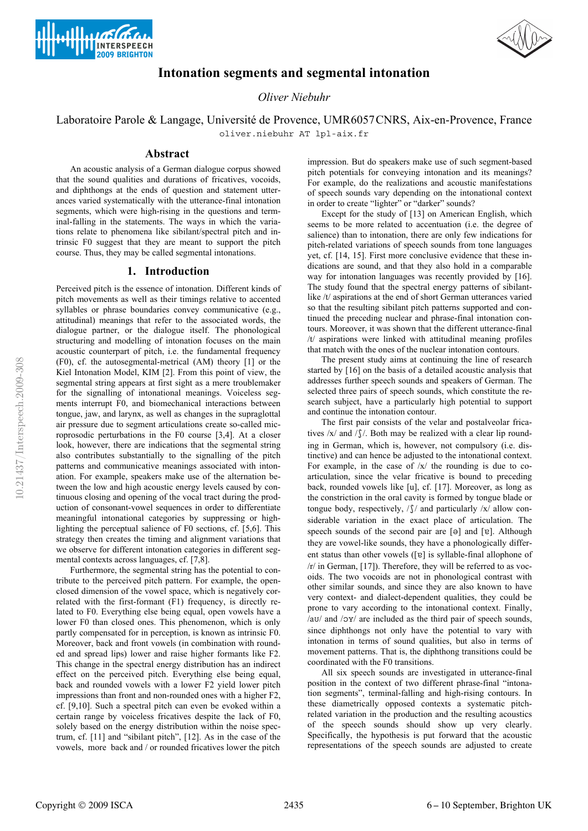



# **Intonation segments and segmental intonation**

*Oliver Niebuhr*

## Laboratoire Parole & Langage, Université de Provence, UMR6057CNRS, Aix-en-Provence, France oliver.niebuhr AT lpl-aix.fr

### **Abstract**

An acoustic analysis of a German dialogue corpus showed that the sound qualities and durations of fricatives, vocoids, and diphthongs at the ends of question and statement utterances varied systematically with the utterance-final intonation segments, which were high-rising in the questions and terminal-falling in the statements. The ways in which the variations relate to phenomena like sibilant/spectral pitch and intrinsic F0 suggest that they are meant to support the pitch course. Thus, they may be called segmental intonations.

#### **1. Introduction**

Perceived pitch is the essence of intonation. Different kinds of pitch movements as well as their timings relative to accented syllables or phrase boundaries convey communicative (e.g., attitudinal) meanings that refer to the associated words, the dialogue partner, or the dialogue itself. The phonological structuring and modelling of intonation focuses on the main acoustic counterpart of pitch, i.e. the fundamental frequency (F0), cf. the autosegmental-metrical (AM) theory [1] or the Kiel Intonation Model, KIM [2]. From this point of view, the segmental string appears at first sight as a mere troublemaker for the signalling of intonational meanings. Voiceless segments interrupt F0, and biomechanical interactions between tongue, jaw, and larynx, as well as changes in the supraglottal air pressure due to segment articulations create so-called microprosodic perturbations in the F0 course [3,4]. At a closer look, however, there are indications that the segmental string also contributes substantially to the signalling of the pitch patterns and communicative meanings associated with intonation. For example, speakers make use of the alternation between the low and high acoustic energy levels caused by continuous closing and opening of the vocal tract during the production of consonant-vowel sequences in order to differentiate meaningful intonational categories by suppressing or highlighting the perceptual salience of F0 sections, cf. [5,6]. This strategy then creates the timing and alignment variations that we observe for different intonation categories in different segmental contexts across languages, cf. [7,8].

Furthermore, the segmental string has the potential to contribute to the perceived pitch pattern. For example, the openclosed dimension of the vowel space, which is negatively correlated with the first-formant (F1) frequency, is directly related to F0. Everything else being equal, open vowels have a lower F0 than closed ones. This phenomenon, which is only partly compensated for in perception, is known as intrinsic F0. Moreover, back and front vowels (in combination with rounded and spread lips) lower and raise higher formants like F2. This change in the spectral energy distribution has an indirect effect on the perceived pitch. Everything else being equal, back and rounded vowels with a lower F2 yield lower pitch impressions than front and non-rounded ones with a higher F2, cf. [9,10]. Such a spectral pitch can even be evoked within a certain range by voiceless fricatives despite the lack of F0, solely based on the energy distribution within the noise spectrum, cf. [11] and "sibilant pitch", [12]. As in the case of the vowels, more back and / or rounded fricatives lower the pitch

impression. But do speakers make use of such segment-based pitch potentials for conveying intonation and its meanings? For example, do the realizations and acoustic manifestations of speech sounds vary depending on the intonational context in order to create "lighter" or "darker" sounds?

Except for the study of [13] on American English, which seems to be more related to accentuation (i.e. the degree of salience) than to intonation, there are only few indications for pitch-related variations of speech sounds from tone languages yet, cf. [14, 15]. First more conclusive evidence that these indications are sound, and that they also hold in a comparable way for intonation languages was recently provided by [16]. The study found that the spectral energy patterns of sibilantlike /t/ aspirations at the end of short German utterances varied so that the resulting sibilant pitch patterns supported and continued the preceding nuclear and phrase-final intonation contours. Moreover, it was shown that the different utterance-final /t/ aspirations were linked with attitudinal meaning profiles that match with the ones of the nuclear intonation contours.

The present study aims at continuing the line of research started by [16] on the basis of a detailed acoustic analysis that addresses further speech sounds and speakers of German. The selected three pairs of speech sounds, which constitute the research subject, have a particularly high potential to support and continue the intonation contour.

The first pair consists of the velar and postalveolar fricatives  $/x/$  and  $/\sqrt{2}$ . Both may be realized with a clear lip rounding in German, which is, however, not compulsory (i.e. distinctive) and can hence be adjusted to the intonational context. For example, in the case of  $/x/$  the rounding is due to coarticulation, since the velar fricative is bound to preceding back, rounded vowels like [u], cf. [17]. Moreover, as long as the constriction in the oral cavity is formed by tongue blade or tongue body, respectively,  $\sqrt{\frac{5}{\pi}}$  and particularly  $\sqrt{\frac{x}{a}}$  allow considerable variation in the exact place of articulation. The speech sounds of the second pair are  $[\theta]$  and  $[\theta]$ . Although they are vowel-like sounds, they have a phonologically different status than other vowels ([v] is syllable-final allophone of /r/ in German, [17]). Therefore, they will be referred to as vocoids. The two vocoids are not in phonological contrast with other similar sounds, and since they are also known to have very context- and dialect-dependent qualities, they could be prone to vary according to the intonational context. Finally,  $/au/$  and  $/oy/$  are included as the third pair of speech sounds, since diphthongs not only have the potential to vary with intonation in terms of sound qualities, but also in terms of movement patterns. That is, the diphthong transitions could be coordinated with the F0 transitions.

All six speech sounds are investigated in utterance-final position in the context of two different phrase-final "intonation segments", terminal-falling and high-rising contours. In these diametrically opposed contexts a systematic pitchrelated variation in the production and the resulting acoustics of the speech sounds should show up very clearly. Specifically, the hypothesis is put forward that the acoustic representations of the speech sounds are adjusted to create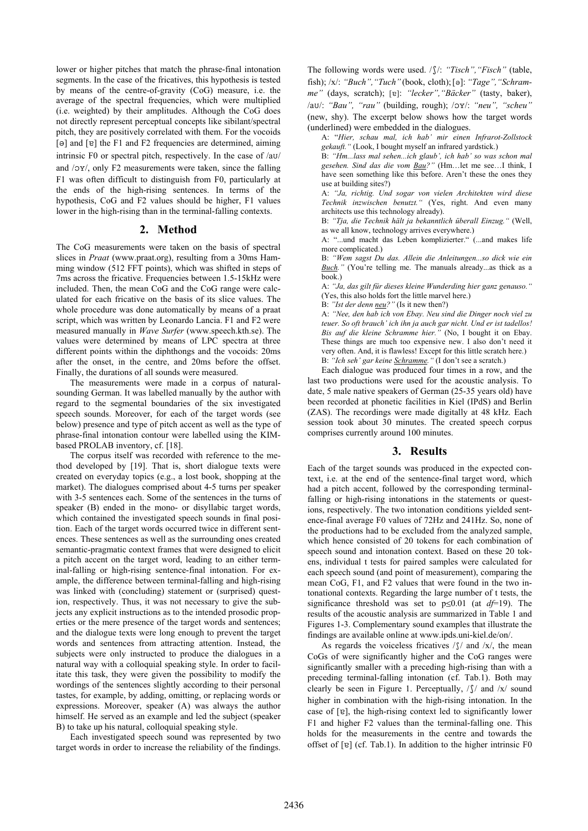lower or higher pitches that match the phrase-final intonation segments. In the case of the fricatives, this hypothesis is tested by means of the centre-of-gravity (CoG) measure, i.e. the average of the spectral frequencies, which were multiplied (i.e. weighted) by their amplitudes. Although the CoG does not directly represent perceptual concepts like sibilant/spectral pitch, they are positively correlated with them. For the vocoids  $[\Theta]$  and  $[\mathfrak{v}]$  the F1 and F2 frequencies are determined, aiming intrinsic F0 or spectral pitch, respectively. In the case of  $/au/$ and  $/oy/$ , only F2 measurements were taken, since the falling F1 was often difficult to distinguish from F0, particularly at the ends of the high-rising sentences. In terms of the hypothesis, CoG and F2 values should be higher, F1 values lower in the high-rising than in the terminal-falling contexts.

#### **2. Method**

The CoG measurements were taken on the basis of spectral slices in *Praat* (www.praat.org), resulting from a 30ms Hamming window (512 FFT points), which was shifted in steps of 7ms across the fricative. Frequencies between 1.5-15kHz were included. Then, the mean CoG and the CoG range were calculated for each fricative on the basis of its slice values. The whole procedure was done automatically by means of a praat script, which was written by Leonardo Lancia. F1 and F2 were measured manually in *Wave Surfer* (www.speech.kth.se). The values were determined by means of LPC spectra at three different points within the diphthongs and the vocoids: 20ms after the onset, in the centre, and 20ms before the offset. Finally, the durations of all sounds were measured.

The measurements were made in a corpus of naturalsounding German. It was labelled manually by the author with regard to the segmental boundaries of the six investigated speech sounds. Moreover, for each of the target words (see below) presence and type of pitch accent as well as the type of phrase-final intonation contour were labelled using the KIMbased PROLAB inventory, cf. [18].

The corpus itself was recorded with reference to the method developed by [19]. That is, short dialogue texts were created on everyday topics (e.g., a lost book, shopping at the market). The dialogues comprised about 4-5 turns per speaker with 3-5 sentences each. Some of the sentences in the turns of speaker (B) ended in the mono- or disyllabic target words, which contained the investigated speech sounds in final position. Each of the target words occurred twice in different sentences. These sentences as well as the surrounding ones created semantic-pragmatic context frames that were designed to elicit a pitch accent on the target word, leading to an either terminal-falling or high-rising sentence-final intonation. For example, the difference between terminal-falling and high-rising was linked with (concluding) statement or (surprised) question, respectively. Thus, it was not necessary to give the subjects any explicit instructions as to the intended prosodic properties or the mere presence of the target words and sentences; and the dialogue texts were long enough to prevent the target words and sentences from attracting attention. Instead, the subjects were only instructed to produce the dialogues in a natural way with a colloquial speaking style. In order to facilitate this task, they were given the possibility to modify the wordings of the sentences slightly according to their personal tastes, for example, by adding, omitting, or replacing words or expressions. Moreover, speaker (A) was always the author himself. He served as an example and led the subject (speaker B) to take up his natural, colloquial speaking style.

Each investigated speech sound was represented by two target words in order to increase the reliability of the findings.

The following words were used. / $\int$ /: "Tisch", "Fisch" (table, fish); /x/: "Buch", "Tuch" (book, cloth); [o]: "Tage", "Schram*me"* (days, scratch); [ɐ]: "lecker", "Bäcker" (tasty, baker), /av/: "Bau", "rau" (building, rough); /ox/: "neu", "scheu" (new, shy). The excerpt below shows how the target words (underlined) were embedded in the dialogues.

A: "*Hier, schau mal, ich hab' mir einen Infrarot-Zollstock gekauft."* (Look, I bought myself an infrared yardstick.)

B: *"Hm...lass mal sehen...ich glaub', ich hab' so was schon mal gesehen. Sind das die vom Bau?"* (Hm…let me see…I think, I have seen something like this before. Aren't these the ones they use at building sites?)

A: *"Ja, richtig. Und sogar von vielen Architekten wird diese Technik inzwischen benutzt."* (Yes, right. And even many architects use this technology already).

B: *"Tja, die Technik hält ja bekanntlich überall Einzug."* (Well, as we all know, technology arrives everywhere.)

A: "...und macht das Leben komplizierter." (...and makes life more complicated.)

B: *"Wem sagst Du das. Allein die Anleitungen...so dick wie ein Buch."* (You're telling me. The manuals already...as thick as a book.)

A: *"Ja, das gilt für dieses kleine Wunderding hier ganz genauso."* (Yes, this also holds fort the little marvel here.)

B: *"Ist der denn neu?"* (Is it new then?)

A: *"Nee, den hab ich von Ebay. Neu sind die Dinger noch viel zu teuer. So oft brauch' ich ihn ja auch gar nicht. Und er ist tadellos! Bis auf die kleine Schramme hier."* (No, I bought it on Ebay. These things are much too expensive new. I also don't need it very often. And, it is flawless! Except for this little scratch here.) B: *"Ich seh' gar keine Schramme."* (I don't see a scratch.)

Each dialogue was produced four times in a row, and the last two productions were used for the acoustic analysis. To date, 5 male native speakers of German (25-35 years old) have been recorded at phonetic facilities in Kiel (IPdS) and Berlin (ZAS). The recordings were made digitally at 48 kHz. Each session took about 30 minutes. The created speech corpus comprises currently around 100 minutes.

## **3. Results**

Each of the target sounds was produced in the expected context, i.e. at the end of the sentence-final target word, which had a pitch accent, followed by the corresponding terminalfalling or high-rising intonations in the statements or questions, respectively. The two intonation conditions yielded sentence-final average F0 values of 72Hz and 241Hz. So, none of the productions had to be excluded from the analyzed sample, which hence consisted of 20 tokens for each combination of speech sound and intonation context. Based on these 20 tokens, individual t tests for paired samples were calculated for each speech sound (and point of measurement), comparing the mean CoG, F1, and F2 values that were found in the two intonational contexts. Regarding the large number of t tests, the significance threshold was set to  $p\leq 0.01$  (at  $df=19$ ). The results of the acoustic analysis are summarized in Table 1 and Figures 1-3. Complementary sound examples that illustrate the findings are available online at www.ipds.uni-kiel.de/on/.

As regards the voiceless fricatives  $\frac{\sqrt{}}{\sqrt{}}$  and  $\frac{\sqrt{x}}{\sqrt{x}}$  the mean CoGs of were significantly higher and the CoG ranges were significantly smaller with a preceding high-rising than with a preceding terminal-falling intonation (cf. Tab.1). Both may clearly be seen in Figure 1. Perceptually,  $\int \int \int$  and  $\int x / \text{ sound}$ higher in combination with the high-rising intonation. In the case of  $[e]$ , the high-rising context led to significantly lower F1 and higher F2 values than the terminal-falling one. This holds for the measurements in the centre and towards the offset of  $[\overline{e}]$  (cf. Tab.1). In addition to the higher intrinsic  $F0$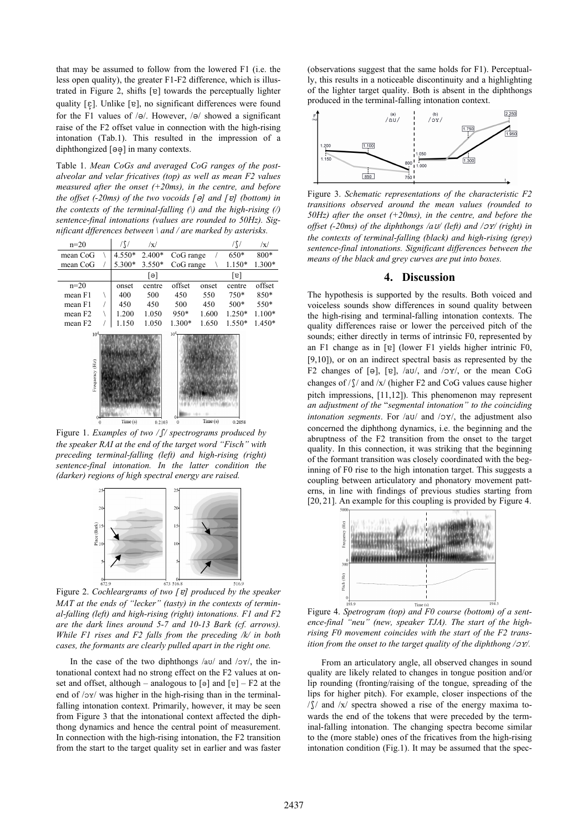that may be assumed to follow from the lowered F1 (i.e. the less open quality), the greater F1-F2 difference, which is illustrated in Figure 2, shifts  $[e]$  towards the perceptually lighter quality  $[\epsilon]$ . Unlike  $[\epsilon]$ , no significant differences were found for the F1 values of  $/$ e $/$ . However,  $/$ e $/$  showed a significant raise of the F2 offset value in connection with the high-rising intonation (Tab.1). This resulted in the impression of a diphthongized  $[\Theta \Theta]$  in many contexts.

Table 1. *Mean CoGs and averaged CoG ranges of the postalveolar and velar fricatives (top) as well as mean F2 values measured after the onset (+20ms), in the centre, and before the offset (-20ms) of the two vocoids [] and [] (bottom) in the contexts of the terminal-falling (\) and the high-rising (/) sentence-final intonations (values are rounded to 50Hz). Significant dfferences between \ and / are marked by asterisks.* 



Figure 1. *Examples of two // spectrograms produced by the speaker RAI at the end of the target word "Fisch" with preceding terminal-falling (left) and high-rising (right) sentence-final intonation. In the latter condition the (darker) regions of high spectral energy are raised.*



Figure 2. *Cochleargrams of two [] produced by the speaker MAT at the ends of "lecker" (tasty) in the contexts of terminal-falling (left) and high-rising (right) intonations. F1 and F2 are the dark lines around 5-7 and 10-13 Bark (cf. arrows). While F1 rises and F2 falls from the preceding /k/ in both cases, the formants are clearly pulled apart in the right one.* 

In the case of the two diphthongs /av/ and / $y$ /, the intonational context had no strong effect on the F2 values at onset and offset, although – analogous to  $\lceil e \rceil$  and  $\lceil e \rceil$  – F2 at the end of  $/oy$  was higher in the high-rising than in the terminalfalling intonation context. Primarily, however, it may be seen from Figure 3 that the intonational context affected the diphthong dynamics and hence the central point of measurement. In connection with the high-rising intonation, the F2 transition from the start to the target quality set in earlier and was faster (observations suggest that the same holds for F1). Perceptually, this results in a noticeable discontinuity and a highlighting of the lighter target quality. Both is absent in the diphthongs produced in the terminal-falling intonation context.



Figure 3. *Schematic representations of the characteristic F2 transitions observed around the mean values (rounded to 50Hz) after the onset (+20ms), in the centre, and before the offset (-20ms) of the diphthongs /a/ (left) and // (right) in the contexts of terminal-falling (black) and high-rising (grey) sentence-final intonations. Significant differences between the means of the black and grey curves are put into boxes.*

### **4. Discussion**

The hypothesis is supported by the results. Both voiced and voiceless sounds show differences in sound quality between the high-rising and terminal-falling intonation contexts. The quality differences raise or lower the perceived pitch of the sounds; either directly in terms of intrinsic F0, represented by an F1 change as in  $[e]$  (lower F1 yields higher intrinic F0, [9,10]), or on an indirect spectral basis as represented by the F2 changes of [ $\Theta$ ], [ $\Theta$ ], /aU/, and / $\Theta$ Y/, or the mean CoG changes of  $/\sqrt{S}$  and  $/x$  (higher F2 and CoG values cause higher pitch impressions, [11,12]). This phenomenon may represent *an adjustment of the* "*segmental intonation" to the coinciding intonation segments*. For /a*v*/ and / $o$ *y*/, the adjustment also concerned the diphthong dynamics, i.e. the beginning and the abruptness of the F2 transition from the onset to the target quality. In this connection, it was striking that the beginning of the formant transition was closely coordinated with the beginning of F0 rise to the high intonation target. This suggests a coupling between articulatory and phonatory movement patterns, in line with findings of previous studies starting from [20, 21]. An example for this coupling is provided by Figure 4.



Figure 4. *Spetrogram (top) and F0 course (bottom) of a sentence-final "neu" (new, speaker TJA). The start of the highrising F0 movement coincides with the start of the F2 transition from the onset to the target quality of the diphthong*  $\sqrt{2Y}$ *.* 

From an articulatory angle, all observed changes in sound quality are likely related to changes in tongue position and/or lip rounding (fronting/raising of the tongue, spreading of the lips for higher pitch). For example, closer inspections of the  $/\int$  and  $/x$  spectra showed a rise of the energy maxima towards the end of the tokens that were preceded by the terminal-falling intonation. The changing spectra become similar to the (more stable) ones of the fricatives from the high-rising intonation condition (Fig.1). It may be assumed that the spec